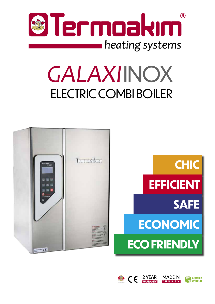

## GALAXIINOX ELECTRIC COMBI BOILER





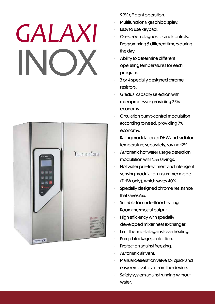## **GALAXI** INO



- 99% efficient operation.
- Multifunctional graphic display.
- Easy to use keypad.
- On-screen diagnostics and controls.
- Programming 5 different timers during the day.
- Ability to determine different operating temperatures for each program.
- 3 or 4 specially designed chrome resistors.
- Gradual capacity selection with microprocessor providing 25% economy.
- Circulation pump control modulation according to need, providing 7% economy.
- Rating modulation of DHW and radiator temperature separately, saving 12%.
- Automatic hot water usage detection modulation with 15% savings.
- Hot water pre-treatment and intelligent sensing modulation in summer mode (DHW only), which saves 40%.
- Specially designed chrome resistance that saves 6%.
- Suitable for underfloor heating.
- Room thermostat output.
- High efficiency with specially developed mixer heat exchanger.
- Limit thermostat against overheating.
- Pump blockage protection.
- Protection against freezing.
- Automatic air vent.
- Manual deaeration valve for quick and easy removal of air from the device.
- Safety system against running without water.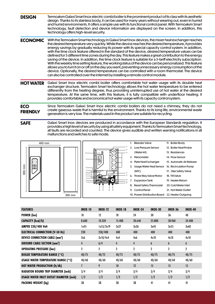| <b>DESIGN</b>          | Termoakim Galaxi Smart Inox electric combi boiler is the prominent product of its class with its aesthetic<br>design. Thanks to its stainless body, it can be used for many years without wearing out, even in humid<br>and humid environments. It offers a simple use with its functional control panel. With Termoakim Smart<br>technology, fault detection and device information are displayed on the screen. In addition, this<br>technology offers high-level security.                                                                                                                                                                                                                                                                                                                                                                                                                                                                                                                                                                                        |
|------------------------|----------------------------------------------------------------------------------------------------------------------------------------------------------------------------------------------------------------------------------------------------------------------------------------------------------------------------------------------------------------------------------------------------------------------------------------------------------------------------------------------------------------------------------------------------------------------------------------------------------------------------------------------------------------------------------------------------------------------------------------------------------------------------------------------------------------------------------------------------------------------------------------------------------------------------------------------------------------------------------------------------------------------------------------------------------------------|
| <b>ECONOMIC</b>        | With the Termoakim Smart technology in Galaxi Smart Inox devices, the mixer heat exchanger reaches<br>the desired temperature very quickly. While the device reaches the desired temperature, it provides<br>energy savings by gradually reducing its power with its special capacity control system. In addition,<br>with the time clock feature offered in the standard of the device, desired temperature values can be<br>defined for 5 different time zones during the day. This feature makes a great contribution to the energy<br>saving of the device. In addition, the time clock feature is suitable for a 3-tariff electricity subscription.<br>With the weekly time setting feature, the working status of the device can be personalized. This feature<br>allows you to turn it on or off on the day you want, preventing unnecessary energy consumption of the<br>device. Optionally, the desired temperature can be controlled with a room thermostat. The device<br>can also be controlled over the internet by installing a remote control module. |
| <b>HOT WATER</b>       | Galaxi Smart Inox electric combi boiler offers comfortable hot water usage with its double heat<br>exchanger structure. Termoakm Smart technology allows the hot water temperature to be entered<br>differently from the heating degree, thus providing uninterrupted use of hot water at the desired<br>temperature. At the same time, with this feature, it is fully compatible with underfloor heating. It<br>provides comfortable and economical hot water usage with its capacity control system.                                                                                                                                                                                                                                                                                                                                                                                                                                                                                                                                                               |
| ECO<br><b>FRIENDLY</b> | Since Termoakim Galaxi Smart Inox electric combi boilers do not need a chimney, they do not<br>create gaseous waste that is harmful to the environment. Thanks to its long life, environmental waste<br>generation is very low. The materials used in the product are suitable for recycling.                                                                                                                                                                                                                                                                                                                                                                                                                                                                                                                                                                                                                                                                                                                                                                        |
| SΔFF                   | Galaxi Smart Inox devices are produced in accordance with the European Standards requiation. It                                                                                                                                                                                                                                                                                                                                                                                                                                                                                                                                                                                                                                                                                                                                                                                                                                                                                                                                                                      |

Galaxi Smart Inox devices are produced in accordance with the European Standards regulation. It provides a high level of security by using all safety equipment. Thanks to Termoakım Smart technology, all faults are recorded and counted. The device gives audible and written warning notifications in all malfunctions and switches to safe mode. **SAFE**



| <b>FEATURES</b>                                 | <b>INOX-10</b> | <b>INOX-12</b> | <b>INOX-18</b> | <b>INOX-24</b>    | <b>INOX-30</b> | <b>INOX-36</b> | <b>INOX-40</b>   |
|-------------------------------------------------|----------------|----------------|----------------|-------------------|----------------|----------------|------------------|
| POWER (kw)                                      | 10             | 12             | 18             | 24                | 30             | 36             | 40               |
| CAPACITY (kcal/h)                               | 8.600          | 10.320         | 15.480         | 20.640            | 25.800         | 30.960         | 34.400           |
| <b>AMPER 230/400 Volt</b>                       | 1x45           | 1x55/3x19      | 3x27           | 3x36              | 3x45           | 3x55           | 3x60             |
| <b>ELECTRICAL CONNECTION (V-50 Hz)</b>          | 230            | 230/400        | 400            | 400               | 400            | 400            | 400              |
| <b>DEVICE CONNECTION CABLE (mm<sup>2</sup>)</b> | 2x6            | 2x10/4x4       | 4x4            | 4x6               | 4x10           | 4x10           | 4x10             |
| <b>GROUND CABLE SECTION (mm<sup>2</sup>)</b>    | 4              | 6/4            | 4              | 4                 | 6              | 6              | 6                |
| <b>OPERATING PRESSURE (bar)</b>                 | 2              | 2              | 2              | $\mathbf 2$       | $\mathbf 2$    | 2              | $\boldsymbol{2}$ |
| <b>BOILER TEMPERATURE RANGE (°C)</b>            | 40/75          | 40/75          | 40/75          | 40/75             | 40/75          | 40/75          | 40/75            |
| USAGE WATER TEMPERATURE RANGE (°C)              | 40/60          | 40/60          | 40/60          | 40/60             | 40/60          | 40/60          | 40/60            |
| <b>HOT WATER PRODUCTION (lt/dk)</b>             |                | 9              | 10             | $12 \overline{ }$ | 15             | 15             | 15               |
| <b>RADIATOR ROUND TRIP DIAMETER (inch)</b>      | 3/4            | 3/4            | 3/4            | 3/4               | 3/4            | 3/4            | 3/4              |
| USAGE WATER INLET OUTLET DIAMETER (inch)        | 1/2            | 1/2            | 1/2            | 1/2               | 1/2            | 1/2            | 1/2              |
| <b>PACKING WEIGHT (kg)</b>                      | 38             | 38             | 38             | 38                | 41             | 41             | 41               |